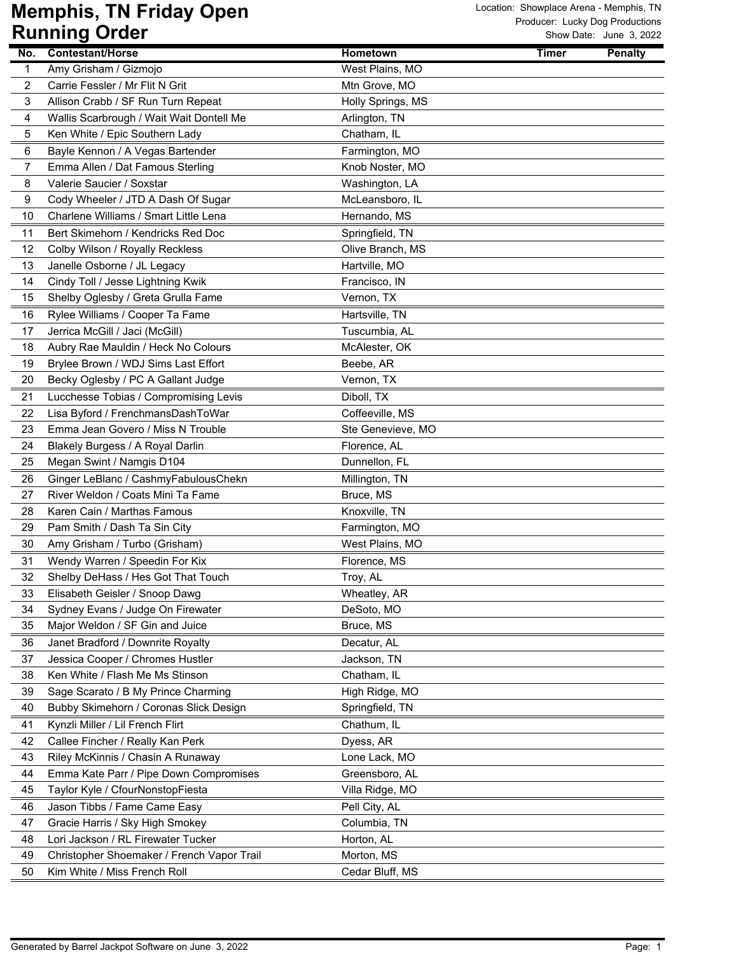|                         | ישטיש שישניייייי                           |                   | Show Date: Sanc S, 2022 |
|-------------------------|--------------------------------------------|-------------------|-------------------------|
| No.                     | <b>Contestant/Horse</b>                    | <b>Hometown</b>   | <b>Penalty</b><br>Timer |
| $\mathbf{1}$            | Amy Grisham / Gizmojo                      | West Plains, MO   |                         |
| $\overline{\mathbf{c}}$ | Carrie Fessler / Mr Flit N Grit            | Mtn Grove, MO     |                         |
| 3                       | Allison Crabb / SF Run Turn Repeat         | Holly Springs, MS |                         |
| 4                       | Wallis Scarbrough / Wait Wait Dontell Me   | Arlington, TN     |                         |
| 5                       | Ken White / Epic Southern Lady             | Chatham, IL       |                         |
| 6                       | Bayle Kennon / A Vegas Bartender           | Farmington, MO    |                         |
| 7                       | Emma Allen / Dat Famous Sterling           | Knob Noster, MO   |                         |
| 8                       | Valerie Saucier / Soxstar                  | Washington, LA    |                         |
| 9                       | Cody Wheeler / JTD A Dash Of Sugar         | McLeansboro, IL   |                         |
| 10                      | Charlene Williams / Smart Little Lena      | Hernando, MS      |                         |
| 11                      | Bert Skimehorn / Kendricks Red Doc         | Springfield, TN   |                         |
| 12                      | Colby Wilson / Royally Reckless            | Olive Branch, MS  |                         |
| 13                      | Janelle Osborne / JL Legacy                | Hartville, MO     |                         |
| 14                      | Cindy Toll / Jesse Lightning Kwik          | Francisco, IN     |                         |
| 15                      | Shelby Oglesby / Greta Grulla Fame         | Vernon, TX        |                         |
| 16                      | Rylee Williams / Cooper Ta Fame            | Hartsville, TN    |                         |
| 17                      | Jerrica McGill / Jaci (McGill)             | Tuscumbia, AL     |                         |
| 18                      | Aubry Rae Mauldin / Heck No Colours        | McAlester, OK     |                         |
| 19                      | Brylee Brown / WDJ Sims Last Effort        | Beebe, AR         |                         |
| 20                      | Becky Oglesby / PC A Gallant Judge         | Vernon, TX        |                         |
| 21                      | Lucchesse Tobias / Compromising Levis      | Diboll, TX        |                         |
| 22                      | Lisa Byford / FrenchmansDashToWar          | Coffeeville, MS   |                         |
| 23                      | Emma Jean Govero / Miss N Trouble          | Ste Genevieve, MO |                         |
| 24                      | Blakely Burgess / A Royal Darlin           | Florence, AL      |                         |
| 25                      | Megan Swint / Namgis D104                  | Dunnellon, FL     |                         |
| 26                      | Ginger LeBlanc / CashmyFabulousChekn       | Millington, TN    |                         |
| 27                      | River Weldon / Coats Mini Ta Fame          | Bruce, MS         |                         |
| 28                      | Karen Cain / Marthas Famous                | Knoxville, TN     |                         |
| 29                      | Pam Smith / Dash Ta Sin City               | Farmington, MO    |                         |
| 30                      | Amy Grisham / Turbo (Grisham)              | West Plains, MO   |                         |
| 31                      | Wendy Warren / Speedin For Kix             | Florence, MS      |                         |
| 32                      | Shelby DeHass / Hes Got That Touch         | Troy, AL          |                         |
| 33                      | Elisabeth Geisler / Snoop Dawg             | Wheatley, AR      |                         |
| 34                      | Sydney Evans / Judge On Firewater          | DeSoto, MO        |                         |
| 35                      | Major Weldon / SF Gin and Juice            | Bruce, MS         |                         |
| 36                      | Janet Bradford / Downrite Royalty          | Decatur, AL       |                         |
| 37                      | Jessica Cooper / Chromes Hustler           | Jackson, TN       |                         |
| 38                      | Ken White / Flash Me Ms Stinson            | Chatham, IL       |                         |
| 39                      | Sage Scarato / B My Prince Charming        | High Ridge, MO    |                         |
| 40                      | Bubby Skimehorn / Coronas Slick Design     | Springfield, TN   |                         |
| 41                      | Kynzli Miller / Lil French Flirt           | Chathum, IL       |                         |
| 42                      | Callee Fincher / Really Kan Perk           | Dyess, AR         |                         |
| 43                      | Riley McKinnis / Chasin A Runaway          | Lone Lack, MO     |                         |
| 44                      | Emma Kate Parr / Pipe Down Compromises     | Greensboro, AL    |                         |
| 45                      | Taylor Kyle / CfourNonstopFiesta           | Villa Ridge, MO   |                         |
| 46                      | Jason Tibbs / Fame Came Easy               | Pell City, AL     |                         |
| 47                      | Gracie Harris / Sky High Smokey            | Columbia, TN      |                         |
| 48                      | Lori Jackson / RL Firewater Tucker         | Horton, AL        |                         |
| 49                      | Christopher Shoemaker / French Vapor Trail | Morton, MS        |                         |
| 50                      | Kim White / Miss French Roll               | Cedar Bluff, MS   |                         |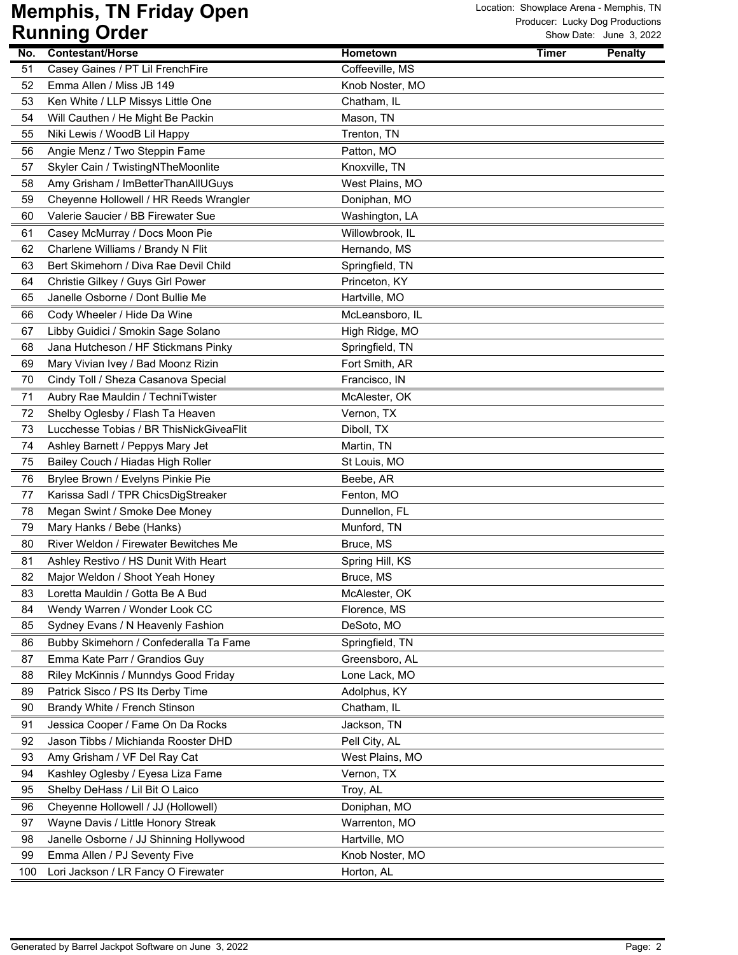|          | $\bullet$ , $\bullet$ ,                                                   |                                  |              |                |
|----------|---------------------------------------------------------------------------|----------------------------------|--------------|----------------|
| No.      | <b>Contestant/Horse</b>                                                   | Hometown                         | <b>Timer</b> | <b>Penalty</b> |
| 51       | Casey Gaines / PT Lil FrenchFire                                          | Coffeeville, MS                  |              |                |
| 52       | Emma Allen / Miss JB 149                                                  | Knob Noster, MO                  |              |                |
| 53       | Ken White / LLP Missys Little One                                         | Chatham, IL                      |              |                |
| 54       | Will Cauthen / He Might Be Packin                                         | Mason, TN                        |              |                |
| 55       | Niki Lewis / WoodB Lil Happy                                              | Trenton, TN                      |              |                |
| 56       | Angie Menz / Two Steppin Fame                                             | Patton, MO                       |              |                |
| 57       | Skyler Cain / TwistingNTheMoonlite                                        | Knoxville, TN                    |              |                |
| 58       | Amy Grisham / ImBetterThanAllUGuys                                        | West Plains, MO                  |              |                |
| 59       | Cheyenne Hollowell / HR Reeds Wrangler                                    | Doniphan, MO                     |              |                |
| 60       | Valerie Saucier / BB Firewater Sue                                        | Washington, LA                   |              |                |
| 61       | Casey McMurray / Docs Moon Pie                                            | Willowbrook, IL                  |              |                |
| 62       | Charlene Williams / Brandy N Flit                                         | Hernando, MS                     |              |                |
| 63       | Bert Skimehorn / Diva Rae Devil Child                                     | Springfield, TN                  |              |                |
| 64       | Christie Gilkey / Guys Girl Power                                         | Princeton, KY                    |              |                |
| 65       | Janelle Osborne / Dont Bullie Me                                          | Hartville, MO                    |              |                |
| 66       | Cody Wheeler / Hide Da Wine                                               | McLeansboro, IL                  |              |                |
| 67       | Libby Guidici / Smokin Sage Solano                                        | High Ridge, MO                   |              |                |
| 68       | Jana Hutcheson / HF Stickmans Pinky                                       | Springfield, TN                  |              |                |
| 69       | Mary Vivian Ivey / Bad Moonz Rizin                                        | Fort Smith, AR                   |              |                |
| 70       | Cindy Toll / Sheza Casanova Special                                       | Francisco, IN                    |              |                |
| 71       | Aubry Rae Mauldin / TechniTwister                                         | McAlester, OK                    |              |                |
| 72       | Shelby Oglesby / Flash Ta Heaven                                          | Vernon, TX                       |              |                |
| 73       | Lucchesse Tobias / BR ThisNickGiveaFlit                                   | Diboll, TX                       |              |                |
| 74       | Ashley Barnett / Peppys Mary Jet                                          | Martin, TN                       |              |                |
| 75       | Bailey Couch / Hiadas High Roller                                         | St Louis, MO                     |              |                |
| 76       | Brylee Brown / Evelyns Pinkie Pie                                         | Beebe, AR                        |              |                |
| 77       | Karissa Sadl / TPR ChicsDigStreaker                                       | Fenton, MO                       |              |                |
| 78       | Megan Swint / Smoke Dee Money                                             | Dunnellon, FL                    |              |                |
| 79       | Mary Hanks / Bebe (Hanks)                                                 | Munford, TN                      |              |                |
| 80       | River Weldon / Firewater Bewitches Me                                     | Bruce, MS                        |              |                |
| 81       | Ashley Restivo / HS Dunit With Heart                                      | Spring Hill, KS                  |              |                |
| 82       | Major Weldon / Shoot Yeah Honey                                           | Bruce, MS                        |              |                |
| 83       | Loretta Mauldin / Gotta Be A Bud                                          | McAlester, OK                    |              |                |
| 84       | Wendy Warren / Wonder Look CC                                             | Florence, MS                     |              |                |
| 85       | Sydney Evans / N Heavenly Fashion                                         | DeSoto, MO                       |              |                |
| 86       | Bubby Skimehorn / Confederalla Ta Fame                                    | Springfield, TN                  |              |                |
| 87       | Emma Kate Parr / Grandios Guy                                             | Greensboro, AL                   |              |                |
| 88       | Riley McKinnis / Munndys Good Friday                                      | Lone Lack, MO                    |              |                |
| 89       | Patrick Sisco / PS Its Derby Time                                         | Adolphus, KY                     |              |                |
| 90       | Brandy White / French Stinson                                             | Chatham, IL                      |              |                |
| 91       | Jessica Cooper / Fame On Da Rocks                                         | Jackson, TN                      |              |                |
| 92       | Jason Tibbs / Michianda Rooster DHD                                       | Pell City, AL                    |              |                |
| 93       | Amy Grisham / VF Del Ray Cat                                              | West Plains, MO                  |              |                |
| 94       | Kashley Oglesby / Eyesa Liza Fame                                         | Vernon, TX                       |              |                |
| 95       | Shelby DeHass / Lil Bit O Laico                                           | Troy, AL                         |              |                |
|          |                                                                           |                                  |              |                |
| 96<br>97 | Cheyenne Hollowell / JJ (Hollowell)<br>Wayne Davis / Little Honory Streak | Doniphan, MO<br>Warrenton, MO    |              |                |
|          | Janelle Osborne / JJ Shinning Hollywood                                   |                                  |              |                |
| 98<br>99 | Emma Allen / PJ Seventy Five                                              | Hartville, MO<br>Knob Noster, MO |              |                |
| 100      | Lori Jackson / LR Fancy O Firewater                                       | Horton, AL                       |              |                |
|          |                                                                           |                                  |              |                |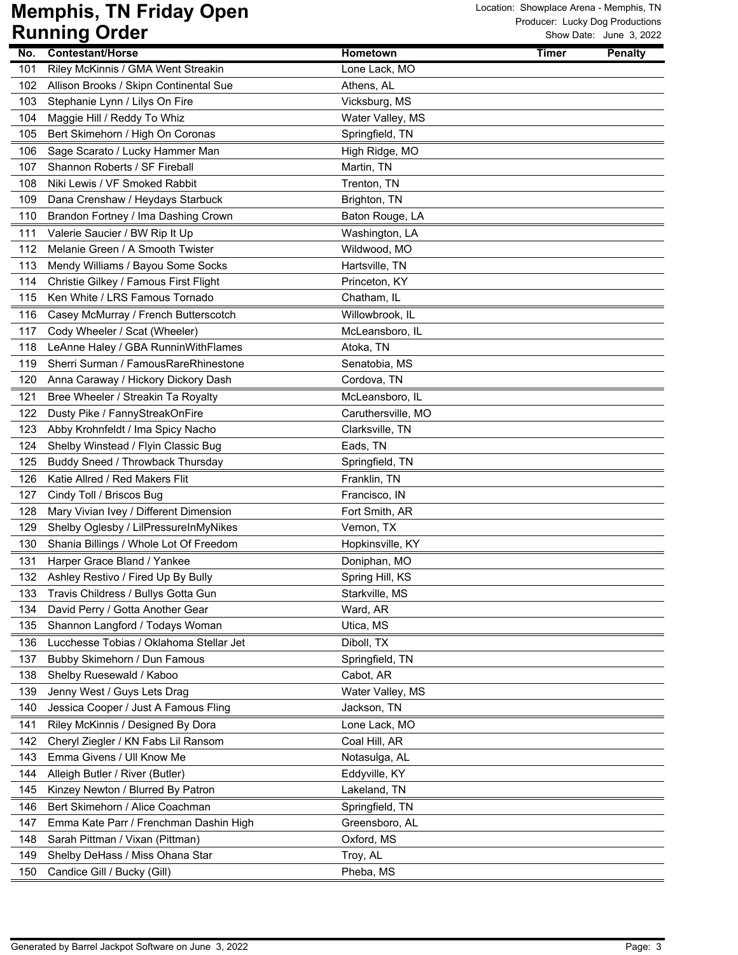|     | ישטיש איט נוויווייש                     |                    |              | UW DAIG. JUIG J, ZUZZ |
|-----|-----------------------------------------|--------------------|--------------|-----------------------|
| No. | <b>Contestant/Horse</b>                 | <b>Hometown</b>    | <b>Timer</b> | <b>Penalty</b>        |
| 101 | Riley McKinnis / GMA Went Streakin      | Lone Lack, MO      |              |                       |
| 102 | Allison Brooks / Skipn Continental Sue  | Athens, AL         |              |                       |
| 103 | Stephanie Lynn / Lilys On Fire          | Vicksburg, MS      |              |                       |
| 104 | Maggie Hill / Reddy To Whiz             | Water Valley, MS   |              |                       |
| 105 | Bert Skimehorn / High On Coronas        | Springfield, TN    |              |                       |
| 106 | Sage Scarato / Lucky Hammer Man         | High Ridge, MO     |              |                       |
| 107 | Shannon Roberts / SF Fireball           | Martin, TN         |              |                       |
| 108 | Niki Lewis / VF Smoked Rabbit           | Trenton, TN        |              |                       |
| 109 | Dana Crenshaw / Heydays Starbuck        | Brighton, TN       |              |                       |
| 110 | Brandon Fortney / Ima Dashing Crown     | Baton Rouge, LA    |              |                       |
| 111 | Valerie Saucier / BW Rip It Up          | Washington, LA     |              |                       |
| 112 | Melanie Green / A Smooth Twister        | Wildwood, MO       |              |                       |
| 113 | Mendy Williams / Bayou Some Socks       | Hartsville, TN     |              |                       |
| 114 | Christie Gilkey / Famous First Flight   | Princeton, KY      |              |                       |
| 115 | Ken White / LRS Famous Tornado          | Chatham, IL        |              |                       |
| 116 | Casey McMurray / French Butterscotch    | Willowbrook, IL    |              |                       |
| 117 | Cody Wheeler / Scat (Wheeler)           | McLeansboro, IL    |              |                       |
| 118 | LeAnne Haley / GBA RunninWithFlames     | Atoka, TN          |              |                       |
| 119 | Sherri Surman / FamousRareRhinestone    | Senatobia, MS      |              |                       |
| 120 | Anna Caraway / Hickory Dickory Dash     | Cordova, TN        |              |                       |
| 121 | Bree Wheeler / Streakin Ta Royalty      | McLeansboro, IL    |              |                       |
| 122 | Dusty Pike / FannyStreakOnFire          | Caruthersville, MO |              |                       |
| 123 | Abby Krohnfeldt / Ima Spicy Nacho       | Clarksville, TN    |              |                       |
| 124 | Shelby Winstead / Flyin Classic Bug     | Eads, TN           |              |                       |
| 125 | Buddy Sneed / Throwback Thursday        | Springfield, TN    |              |                       |
| 126 | Katie Allred / Red Makers Flit          | Franklin, TN       |              |                       |
| 127 | Cindy Toll / Briscos Bug                | Francisco, IN      |              |                       |
| 128 | Mary Vivian Ivey / Different Dimension  | Fort Smith, AR     |              |                       |
| 129 | Shelby Oglesby / LilPressureInMyNikes   | Vernon, TX         |              |                       |
| 130 | Shania Billings / Whole Lot Of Freedom  | Hopkinsville, KY   |              |                       |
| 131 | Harper Grace Bland / Yankee             | Doniphan, MO       |              |                       |
| 132 | Ashley Restivo / Fired Up By Bully      | Spring Hill, KS    |              |                       |
| 133 | Travis Childress / Bullys Gotta Gun     | Starkville, MS     |              |                       |
| 134 | David Perry / Gotta Another Gear        | Ward, AR           |              |                       |
| 135 | Shannon Langford / Todays Woman         | Utica, MS          |              |                       |
| 136 | Lucchesse Tobias / Oklahoma Stellar Jet | Diboll, TX         |              |                       |
| 137 | Bubby Skimehorn / Dun Famous            | Springfield, TN    |              |                       |
| 138 | Shelby Ruesewald / Kaboo                | Cabot, AR          |              |                       |
| 139 | Jenny West / Guys Lets Drag             | Water Valley, MS   |              |                       |
| 140 | Jessica Cooper / Just A Famous Fling    | Jackson, TN        |              |                       |
| 141 | Riley McKinnis / Designed By Dora       | Lone Lack, MO      |              |                       |
| 142 | Cheryl Ziegler / KN Fabs Lil Ransom     | Coal Hill, AR      |              |                       |
| 143 | Emma Givens / Ull Know Me               | Notasulga, AL      |              |                       |
| 144 | Alleigh Butler / River (Butler)         | Eddyville, KY      |              |                       |
| 145 | Kinzey Newton / Blurred By Patron       | Lakeland, TN       |              |                       |
| 146 | Bert Skimehorn / Alice Coachman         | Springfield, TN    |              |                       |
| 147 | Emma Kate Parr / Frenchman Dashin High  | Greensboro, AL     |              |                       |
| 148 | Sarah Pittman / Vixan (Pittman)         | Oxford, MS         |              |                       |
| 149 | Shelby DeHass / Miss Ohana Star         | Troy, AL           |              |                       |
| 150 | Candice Gill / Bucky (Gill)             | Pheba, MS          |              |                       |
|     |                                         |                    |              |                       |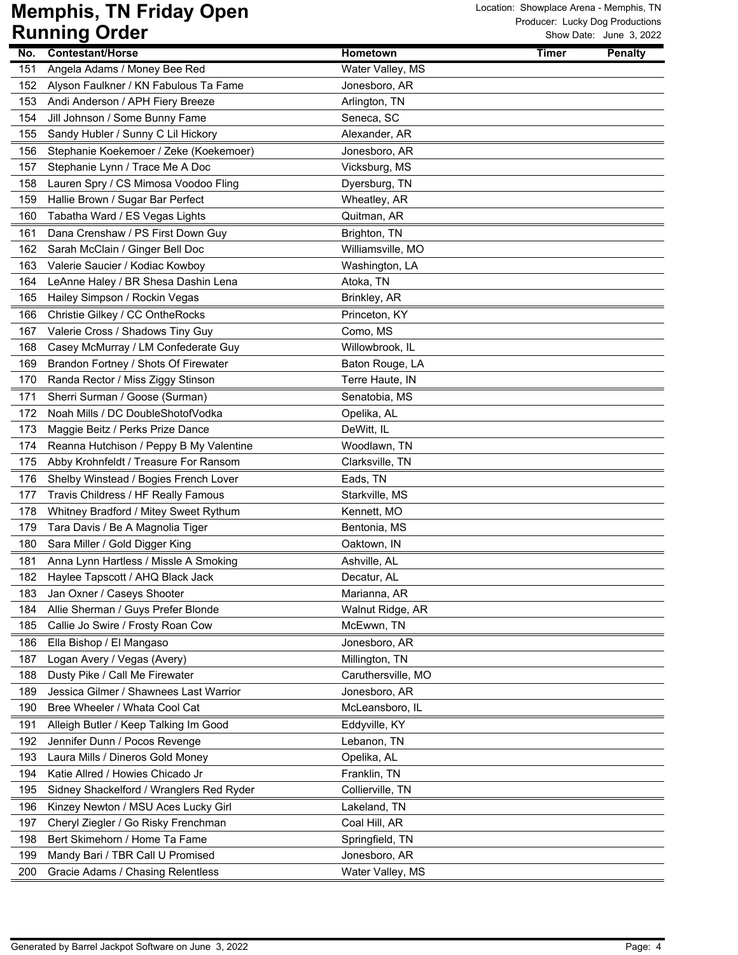|     | ישטיש שישנויי                            |                    |       | OW DUIG. UUIK U, LULL |
|-----|------------------------------------------|--------------------|-------|-----------------------|
| No. | <b>Contestant/Horse</b>                  | Hometown           | Timer | <b>Penalty</b>        |
| 151 | Angela Adams / Money Bee Red             | Water Valley, MS   |       |                       |
| 152 | Alyson Faulkner / KN Fabulous Ta Fame    | Jonesboro, AR      |       |                       |
| 153 | Andi Anderson / APH Fiery Breeze         | Arlington, TN      |       |                       |
| 154 | Jill Johnson / Some Bunny Fame           | Seneca, SC         |       |                       |
| 155 | Sandy Hubler / Sunny C Lil Hickory       | Alexander, AR      |       |                       |
| 156 | Stephanie Koekemoer / Zeke (Koekemoer)   | Jonesboro, AR      |       |                       |
| 157 | Stephanie Lynn / Trace Me A Doc          | Vicksburg, MS      |       |                       |
| 158 | Lauren Spry / CS Mimosa Voodoo Fling     | Dyersburg, TN      |       |                       |
| 159 | Hallie Brown / Sugar Bar Perfect         | Wheatley, AR       |       |                       |
| 160 | Tabatha Ward / ES Vegas Lights           | Quitman, AR        |       |                       |
| 161 | Dana Crenshaw / PS First Down Guy        | Brighton, TN       |       |                       |
| 162 | Sarah McClain / Ginger Bell Doc          | Williamsville, MO  |       |                       |
| 163 | Valerie Saucier / Kodiac Kowboy          | Washington, LA     |       |                       |
| 164 | LeAnne Haley / BR Shesa Dashin Lena      | Atoka, TN          |       |                       |
| 165 | Hailey Simpson / Rockin Vegas            | Brinkley, AR       |       |                       |
| 166 | Christie Gilkey / CC OntheRocks          | Princeton, KY      |       |                       |
| 167 | Valerie Cross / Shadows Tiny Guy         | Como, MS           |       |                       |
| 168 | Casey McMurray / LM Confederate Guy      | Willowbrook, IL    |       |                       |
| 169 | Brandon Fortney / Shots Of Firewater     | Baton Rouge, LA    |       |                       |
| 170 | Randa Rector / Miss Ziggy Stinson        | Terre Haute, IN    |       |                       |
| 171 | Sherri Surman / Goose (Surman)           | Senatobia, MS      |       |                       |
| 172 | Noah Mills / DC DoubleShotofVodka        | Opelika, AL        |       |                       |
| 173 | Maggie Beitz / Perks Prize Dance         | DeWitt, IL         |       |                       |
| 174 | Reanna Hutchison / Peppy B My Valentine  | Woodlawn, TN       |       |                       |
| 175 | Abby Krohnfeldt / Treasure For Ransom    | Clarksville, TN    |       |                       |
| 176 | Shelby Winstead / Bogies French Lover    | Eads, TN           |       |                       |
| 177 | Travis Childress / HF Really Famous      | Starkville, MS     |       |                       |
| 178 | Whitney Bradford / Mitey Sweet Rythum    | Kennett, MO        |       |                       |
| 179 | Tara Davis / Be A Magnolia Tiger         | Bentonia, MS       |       |                       |
| 180 | Sara Miller / Gold Digger King           | Oaktown, IN        |       |                       |
| 181 | Anna Lynn Hartless / Missle A Smoking    | Ashville, AL       |       |                       |
| 182 | Haylee Tapscott / AHQ Black Jack         | Decatur, AL        |       |                       |
| 183 | Jan Oxner / Caseys Shooter               | Marianna, AR       |       |                       |
| 184 | Allie Sherman / Guys Prefer Blonde       | Walnut Ridge, AR   |       |                       |
| 185 | Callie Jo Swire / Frosty Roan Cow        | McEwwn, TN         |       |                       |
| 186 |                                          | Jonesboro, AR      |       |                       |
| 187 | Ella Bishop / El Mangaso                 |                    |       |                       |
|     | Logan Avery / Vegas (Avery)              | Millington, TN     |       |                       |
| 188 | Dusty Pike / Call Me Firewater           | Caruthersville, MO |       |                       |
| 189 | Jessica Gilmer / Shawnees Last Warrior   | Jonesboro, AR      |       |                       |
| 190 | Bree Wheeler / Whata Cool Cat            | McLeansboro, IL    |       |                       |
| 191 | Alleigh Butler / Keep Talking Im Good    | Eddyville, KY      |       |                       |
| 192 | Jennifer Dunn / Pocos Revenge            | Lebanon, TN        |       |                       |
| 193 | Laura Mills / Dineros Gold Money         | Opelika, AL        |       |                       |
| 194 | Katie Allred / Howies Chicado Jr         | Franklin, TN       |       |                       |
| 195 | Sidney Shackelford / Wranglers Red Ryder | Collierville, TN   |       |                       |
| 196 | Kinzey Newton / MSU Aces Lucky Girl      | Lakeland, TN       |       |                       |
| 197 | Cheryl Ziegler / Go Risky Frenchman      | Coal Hill, AR      |       |                       |
| 198 | Bert Skimehorn / Home Ta Fame            | Springfield, TN    |       |                       |
| 199 | Mandy Bari / TBR Call U Promised         | Jonesboro, AR      |       |                       |
| 200 | Gracie Adams / Chasing Relentless        | Water Valley, MS   |       |                       |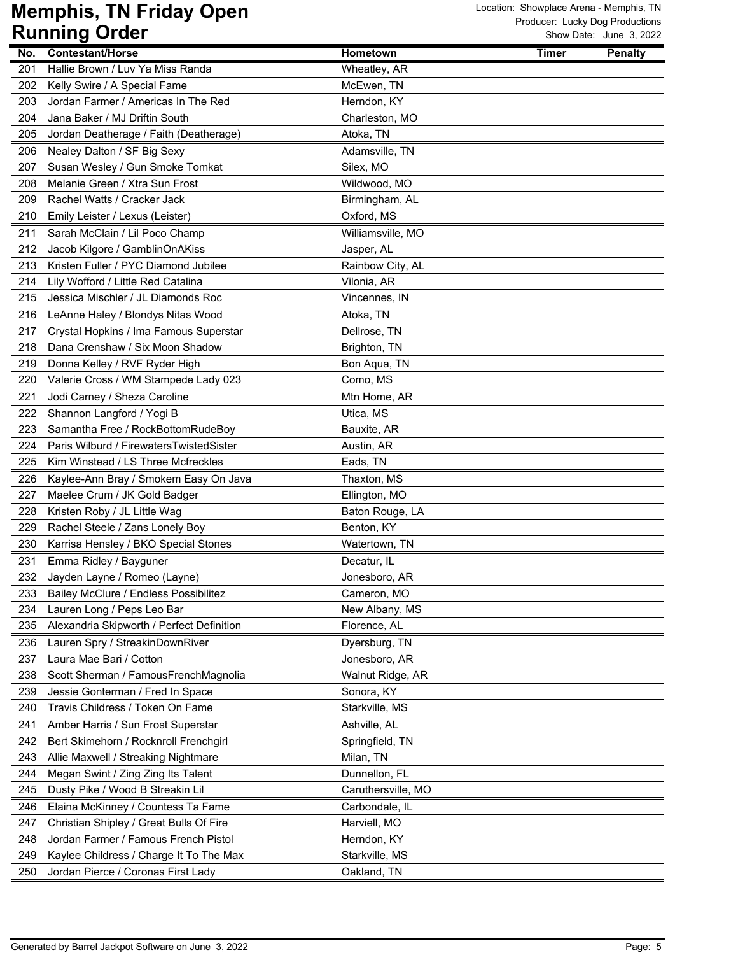|     | ישטיש שישט                                |                    |       | OW DUIG. UUIK U, LULL |
|-----|-------------------------------------------|--------------------|-------|-----------------------|
| No. | <b>Contestant/Horse</b>                   | Hometown           | Timer | <b>Penalty</b>        |
| 201 | Hallie Brown / Luv Ya Miss Randa          | Wheatley, AR       |       |                       |
| 202 | Kelly Swire / A Special Fame              | McEwen, TN         |       |                       |
| 203 | Jordan Farmer / Americas In The Red       | Herndon, KY        |       |                       |
| 204 | Jana Baker / MJ Driftin South             | Charleston, MO     |       |                       |
| 205 | Jordan Deatherage / Faith (Deatherage)    | Atoka, TN          |       |                       |
| 206 | Nealey Dalton / SF Big Sexy               | Adamsville, TN     |       |                       |
| 207 | Susan Wesley / Gun Smoke Tomkat           | Silex, MO          |       |                       |
| 208 | Melanie Green / Xtra Sun Frost            | Wildwood, MO       |       |                       |
| 209 | Rachel Watts / Cracker Jack               | Birmingham, AL     |       |                       |
| 210 | Emily Leister / Lexus (Leister)           | Oxford, MS         |       |                       |
| 211 | Sarah McClain / Lil Poco Champ            | Williamsville, MO  |       |                       |
| 212 | Jacob Kilgore / GamblinOnAKiss            | Jasper, AL         |       |                       |
| 213 | Kristen Fuller / PYC Diamond Jubilee      | Rainbow City, AL   |       |                       |
| 214 | Lily Wofford / Little Red Catalina        | Vilonia, AR        |       |                       |
| 215 | Jessica Mischler / JL Diamonds Roc        | Vincennes, IN      |       |                       |
| 216 | LeAnne Haley / Blondys Nitas Wood         | Atoka, TN          |       |                       |
| 217 | Crystal Hopkins / Ima Famous Superstar    | Dellrose, TN       |       |                       |
| 218 | Dana Crenshaw / Six Moon Shadow           | Brighton, TN       |       |                       |
| 219 | Donna Kelley / RVF Ryder High             | Bon Aqua, TN       |       |                       |
| 220 | Valerie Cross / WM Stampede Lady 023      | Como, MS           |       |                       |
| 221 | Jodi Carney / Sheza Caroline              | Mtn Home, AR       |       |                       |
| 222 | Shannon Langford / Yogi B                 | Utica, MS          |       |                       |
| 223 | Samantha Free / RockBottomRudeBoy         | Bauxite, AR        |       |                       |
| 224 | Paris Wilburd / FirewatersTwistedSister   | Austin, AR         |       |                       |
| 225 | Kim Winstead / LS Three Mcfreckles        | Eads, TN           |       |                       |
| 226 | Kaylee-Ann Bray / Smokem Easy On Java     | Thaxton, MS        |       |                       |
| 227 | Maelee Crum / JK Gold Badger              | Ellington, MO      |       |                       |
| 228 | Kristen Roby / JL Little Wag              | Baton Rouge, LA    |       |                       |
| 229 | Rachel Steele / Zans Lonely Boy           | Benton, KY         |       |                       |
| 230 | Karrisa Hensley / BKO Special Stones      | Watertown, TN      |       |                       |
|     |                                           |                    |       |                       |
| 231 | Emma Ridley / Bayguner                    | Decatur, IL        |       |                       |
| 232 | Jayden Layne / Romeo (Layne)              | Jonesboro, AR      |       |                       |
| 233 | Bailey McClure / Endless Possibilitez     | Cameron, MO        |       |                       |
| 234 | Lauren Long / Peps Leo Bar                | New Albany, MS     |       |                       |
| 235 | Alexandria Skipworth / Perfect Definition | Florence, AL       |       |                       |
| 236 | Lauren Spry / StreakinDownRiver           | Dyersburg, TN      |       |                       |
| 237 | Laura Mae Bari / Cotton                   | Jonesboro, AR      |       |                       |
| 238 | Scott Sherman / FamousFrenchMagnolia      | Walnut Ridge, AR   |       |                       |
| 239 | Jessie Gonterman / Fred In Space          | Sonora, KY         |       |                       |
| 240 | Travis Childress / Token On Fame          | Starkville, MS     |       |                       |
| 241 | Amber Harris / Sun Frost Superstar        | Ashville, AL       |       |                       |
| 242 | Bert Skimehorn / Rocknroll Frenchgirl     | Springfield, TN    |       |                       |
| 243 | Allie Maxwell / Streaking Nightmare       | Milan, TN          |       |                       |
| 244 | Megan Swint / Zing Zing Its Talent        | Dunnellon, FL      |       |                       |
| 245 | Dusty Pike / Wood B Streakin Lil          | Caruthersville, MO |       |                       |
| 246 | Elaina McKinney / Countess Ta Fame        | Carbondale, IL     |       |                       |
| 247 | Christian Shipley / Great Bulls Of Fire   | Harviell, MO       |       |                       |
| 248 | Jordan Farmer / Famous French Pistol      | Herndon, KY        |       |                       |
| 249 | Kaylee Childress / Charge It To The Max   | Starkville, MS     |       |                       |
| 250 | Jordan Pierce / Coronas First Lady        | Oakland, TN        |       |                       |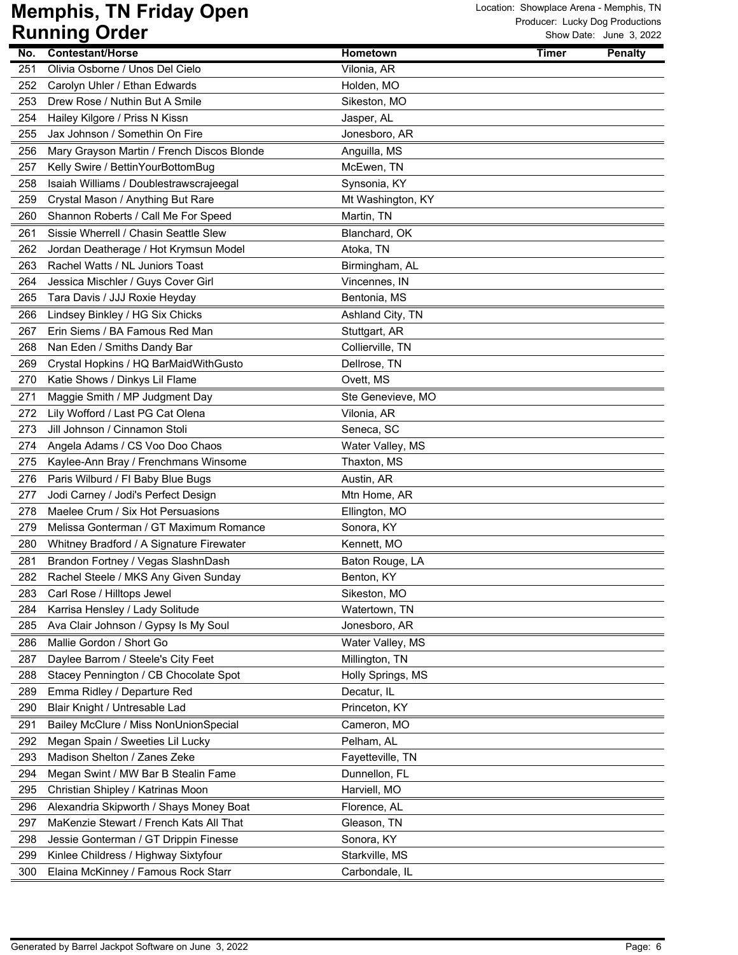|     | nammiy viasi                               |                   |              | OIIUW DAIC. JUIIC J, ZUZZ |
|-----|--------------------------------------------|-------------------|--------------|---------------------------|
| No. | <b>Contestant/Horse</b>                    | <b>Hometown</b>   | <b>Timer</b> | <b>Penalty</b>            |
| 251 | Olivia Osborne / Unos Del Cielo            | Vilonia, AR       |              |                           |
| 252 | Carolyn Uhler / Ethan Edwards              | Holden, MO        |              |                           |
| 253 | Drew Rose / Nuthin But A Smile             | Sikeston, MO      |              |                           |
| 254 | Hailey Kilgore / Priss N Kissn             | Jasper, AL        |              |                           |
| 255 | Jax Johnson / Somethin On Fire             | Jonesboro, AR     |              |                           |
| 256 | Mary Grayson Martin / French Discos Blonde | Anguilla, MS      |              |                           |
| 257 | Kelly Swire / BettinYourBottomBug          | McEwen, TN        |              |                           |
| 258 | Isaiah Williams / Doublestrawscrajeegal    | Synsonia, KY      |              |                           |
| 259 | Crystal Mason / Anything But Rare          | Mt Washington, KY |              |                           |
| 260 | Shannon Roberts / Call Me For Speed        | Martin, TN        |              |                           |
| 261 | Sissie Wherrell / Chasin Seattle Slew      | Blanchard, OK     |              |                           |
| 262 | Jordan Deatherage / Hot Krymsun Model      | Atoka, TN         |              |                           |
| 263 | Rachel Watts / NL Juniors Toast            | Birmingham, AL    |              |                           |
| 264 | Jessica Mischler / Guys Cover Girl         | Vincennes, IN     |              |                           |
| 265 | Tara Davis / JJJ Roxie Heyday              | Bentonia, MS      |              |                           |
| 266 | Lindsey Binkley / HG Six Chicks            | Ashland City, TN  |              |                           |
| 267 | Erin Siems / BA Famous Red Man             | Stuttgart, AR     |              |                           |
| 268 | Nan Eden / Smiths Dandy Bar                | Collierville, TN  |              |                           |
| 269 | Crystal Hopkins / HQ BarMaidWithGusto      | Dellrose, TN      |              |                           |
| 270 | Katie Shows / Dinkys Lil Flame             | Ovett, MS         |              |                           |
| 271 | Maggie Smith / MP Judgment Day             | Ste Genevieve, MO |              |                           |
| 272 | Lily Wofford / Last PG Cat Olena           | Vilonia, AR       |              |                           |
| 273 | Jill Johnson / Cinnamon Stoli              | Seneca, SC        |              |                           |
| 274 | Angela Adams / CS Voo Doo Chaos            | Water Valley, MS  |              |                           |
| 275 | Kaylee-Ann Bray / Frenchmans Winsome       | Thaxton, MS       |              |                           |
| 276 | Paris Wilburd / FI Baby Blue Bugs          | Austin, AR        |              |                           |
| 277 | Jodi Carney / Jodi's Perfect Design        | Mtn Home, AR      |              |                           |
| 278 | Maelee Crum / Six Hot Persuasions          | Ellington, MO     |              |                           |
| 279 | Melissa Gonterman / GT Maximum Romance     | Sonora, KY        |              |                           |
| 280 | Whitney Bradford / A Signature Firewater   | Kennett, MO       |              |                           |
| 281 | Brandon Fortney / Vegas SlashnDash         | Baton Rouge, LA   |              |                           |
| 282 | Rachel Steele / MKS Any Given Sunday       | Benton, KY        |              |                           |
| 283 | Carl Rose / Hilltops Jewel                 | Sikeston, MO      |              |                           |
| 284 | Karrisa Hensley / Lady Solitude            | Watertown, TN     |              |                           |
| 285 | Ava Clair Johnson / Gypsy Is My Soul       | Jonesboro, AR     |              |                           |
| 286 | Mallie Gordon / Short Go                   | Water Valley, MS  |              |                           |
| 287 | Daylee Barrom / Steele's City Feet         | Millington, TN    |              |                           |
| 288 | Stacey Pennington / CB Chocolate Spot      | Holly Springs, MS |              |                           |
| 289 | Emma Ridley / Departure Red                | Decatur, IL       |              |                           |
| 290 | Blair Knight / Untresable Lad              | Princeton, KY     |              |                           |
| 291 | Bailey McClure / Miss NonUnionSpecial      | Cameron, MO       |              |                           |
| 292 | Megan Spain / Sweeties Lil Lucky           | Pelham, AL        |              |                           |
| 293 | Madison Shelton / Zanes Zeke               | Fayetteville, TN  |              |                           |
| 294 | Megan Swint / MW Bar B Stealin Fame        | Dunnellon, FL     |              |                           |
| 295 | Christian Shipley / Katrinas Moon          | Harviell, MO      |              |                           |
| 296 | Alexandria Skipworth / Shays Money Boat    | Florence, AL      |              |                           |
| 297 | MaKenzie Stewart / French Kats All That    | Gleason, TN       |              |                           |
| 298 | Jessie Gonterman / GT Drippin Finesse      | Sonora, KY        |              |                           |
| 299 | Kinlee Childress / Highway Sixtyfour       | Starkville, MS    |              |                           |
| 300 | Elaina McKinney / Famous Rock Starr        | Carbondale, IL    |              |                           |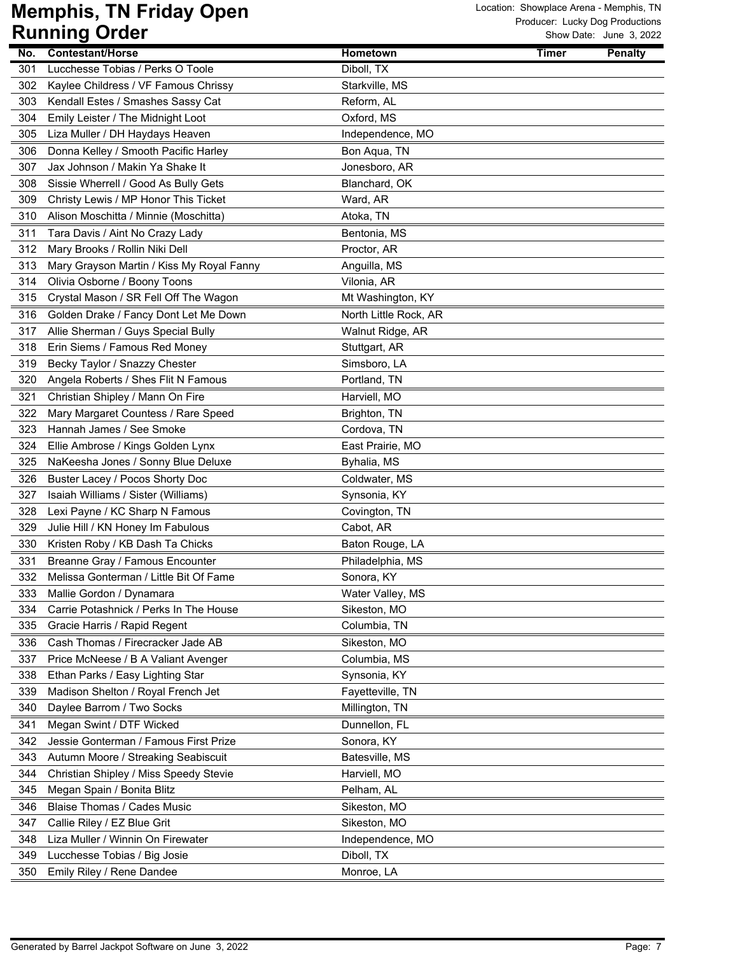|     | ויטטוש איט נווווווש                       |                       |              | OIIUW DAIC. JUIIC J, ZUZZ |
|-----|-------------------------------------------|-----------------------|--------------|---------------------------|
| No. | <b>Contestant/Horse</b>                   | <b>Hometown</b>       | <b>Timer</b> | <b>Penalty</b>            |
| 301 | Lucchesse Tobias / Perks O Toole          | Diboll, TX            |              |                           |
| 302 | Kaylee Childress / VF Famous Chrissy      | Starkville, MS        |              |                           |
| 303 | Kendall Estes / Smashes Sassy Cat         | Reform, AL            |              |                           |
| 304 | Emily Leister / The Midnight Loot         | Oxford, MS            |              |                           |
| 305 | Liza Muller / DH Haydays Heaven           | Independence, MO      |              |                           |
| 306 | Donna Kelley / Smooth Pacific Harley      | Bon Aqua, TN          |              |                           |
| 307 | Jax Johnson / Makin Ya Shake It           | Jonesboro, AR         |              |                           |
| 308 | Sissie Wherrell / Good As Bully Gets      | Blanchard, OK         |              |                           |
| 309 | Christy Lewis / MP Honor This Ticket      | Ward, AR              |              |                           |
| 310 | Alison Moschitta / Minnie (Moschitta)     | Atoka, TN             |              |                           |
| 311 | Tara Davis / Aint No Crazy Lady           | Bentonia, MS          |              |                           |
| 312 | Mary Brooks / Rollin Niki Dell            | Proctor, AR           |              |                           |
| 313 | Mary Grayson Martin / Kiss My Royal Fanny | Anguilla, MS          |              |                           |
| 314 | Olivia Osborne / Boony Toons              | Vilonia, AR           |              |                           |
| 315 | Crystal Mason / SR Fell Off The Wagon     | Mt Washington, KY     |              |                           |
| 316 | Golden Drake / Fancy Dont Let Me Down     | North Little Rock, AR |              |                           |
| 317 | Allie Sherman / Guys Special Bully        | Walnut Ridge, AR      |              |                           |
| 318 | Erin Siems / Famous Red Money             | Stuttgart, AR         |              |                           |
| 319 | Becky Taylor / Snazzy Chester             | Simsboro, LA          |              |                           |
| 320 | Angela Roberts / Shes Flit N Famous       | Portland, TN          |              |                           |
| 321 | Christian Shipley / Mann On Fire          | Harviell, MO          |              |                           |
| 322 | Mary Margaret Countess / Rare Speed       | Brighton, TN          |              |                           |
| 323 | Hannah James / See Smoke                  | Cordova, TN           |              |                           |
| 324 | Ellie Ambrose / Kings Golden Lynx         | East Prairie, MO      |              |                           |
| 325 | NaKeesha Jones / Sonny Blue Deluxe        | Byhalia, MS           |              |                           |
| 326 | Buster Lacey / Pocos Shorty Doc           | Coldwater, MS         |              |                           |
| 327 | Isaiah Williams / Sister (Williams)       | Synsonia, KY          |              |                           |
| 328 | Lexi Payne / KC Sharp N Famous            | Covington, TN         |              |                           |
| 329 | Julie Hill / KN Honey Im Fabulous         | Cabot, AR             |              |                           |
| 330 | Kristen Roby / KB Dash Ta Chicks          | Baton Rouge, LA       |              |                           |
| 331 | Breanne Gray / Famous Encounter           | Philadelphia, MS      |              |                           |
| 332 | Melissa Gonterman / Little Bit Of Fame    | Sonora, KY            |              |                           |
| 333 | Mallie Gordon / Dynamara                  | Water Valley, MS      |              |                           |
| 334 | Carrie Potashnick / Perks In The House    | Sikeston, MO          |              |                           |
| 335 | Gracie Harris / Rapid Regent              | Columbia, TN          |              |                           |
| 336 | Cash Thomas / Firecracker Jade AB         | Sikeston, MO          |              |                           |
| 337 | Price McNeese / B A Valiant Avenger       | Columbia, MS          |              |                           |
| 338 | Ethan Parks / Easy Lighting Star          | Synsonia, KY          |              |                           |
| 339 | Madison Shelton / Royal French Jet        | Fayetteville, TN      |              |                           |
| 340 | Daylee Barrom / Two Socks                 | Millington, TN        |              |                           |
| 341 | Megan Swint / DTF Wicked                  | Dunnellon, FL         |              |                           |
| 342 | Jessie Gonterman / Famous First Prize     | Sonora, KY            |              |                           |
| 343 | Autumn Moore / Streaking Seabiscuit       | Batesville, MS        |              |                           |
| 344 | Christian Shipley / Miss Speedy Stevie    | Harviell, MO          |              |                           |
| 345 | Megan Spain / Bonita Blitz                | Pelham, AL            |              |                           |
| 346 | Blaise Thomas / Cades Music               | Sikeston, MO          |              |                           |
| 347 | Callie Riley / EZ Blue Grit               | Sikeston, MO          |              |                           |
| 348 | Liza Muller / Winnin On Firewater         | Independence, MO      |              |                           |
| 349 | Lucchesse Tobias / Big Josie              | Diboll, TX            |              |                           |
| 350 | Emily Riley / Rene Dandee                 | Monroe, LA            |              |                           |
|     |                                           |                       |              |                           |